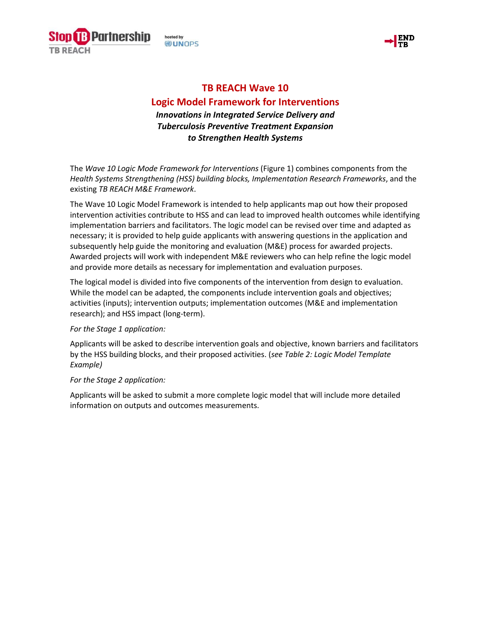

hosted by **DUNOPS** 



# **TB REACH Wave 10**

# **Logic Model Framework for Interventions**

*Innovations in Integrated Service Delivery and Tuberculosis Preventive Treatment Expansion to Strengthen Health Systems*

The *Wave 10 Logic Mode Framework for Interventions* (Figure 1) combines components from the *Health Systems Strengthening (HSS) building blocks, Implementation Research Frameworks*, and the existing *TB REACH M&E Framework*.

The Wave 10 Logic Model Framework is intended to help applicants map out how their proposed intervention activities contribute to HSS and can lead to improved health outcomes while identifying implementation barriers and facilitators. The logic model can be revised over time and adapted as necessary; it is provided to help guide applicants with answering questions in the application and subsequently help guide the monitoring and evaluation (M&E) process for awarded projects. Awarded projects will work with independent M&E reviewers who can help refine the logic model and provide more details as necessary for implementation and evaluation purposes.

The logical model is divided into five components of the intervention from design to evaluation. While the model can be adapted, the components include intervention goals and objectives; activities (inputs); intervention outputs; implementation outcomes (M&E and implementation research); and HSS impact (long-term).

# *For the Stage 1 application:*

Applicants will be asked to describe intervention goals and objective, known barriers and facilitators by the HSS building blocks, and their proposed activities. (*see Table 2: Logic Model Template Example)* 

# *For the Stage 2 application:*

Applicants will be asked to submit a more complete logic model that will include more detailed information on outputs and outcomes measurements.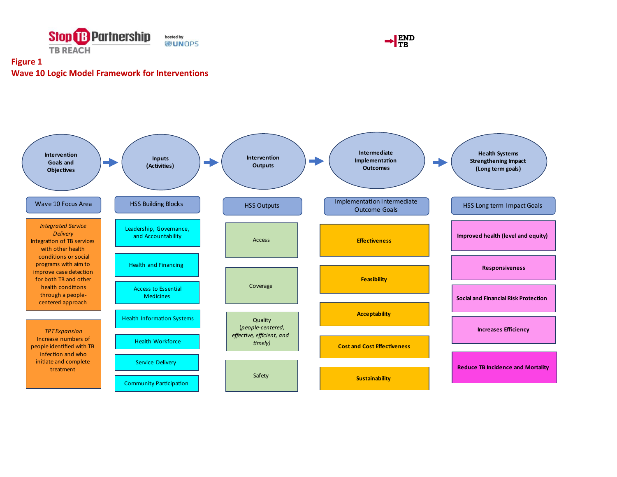



# **Figure 1 Wave 10 Logic Model Framework for Interventions**

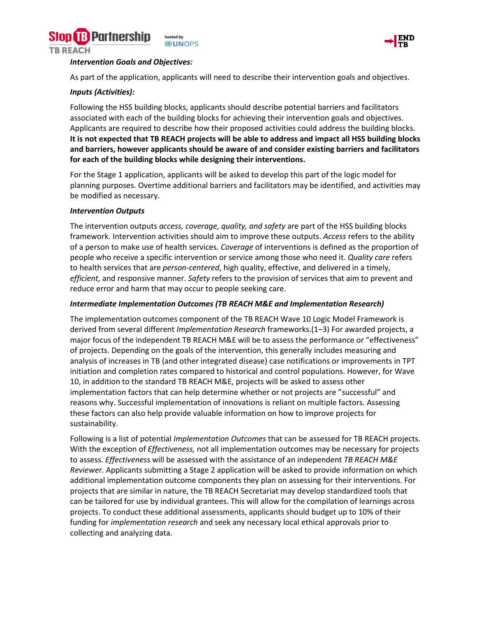



#### *Intervention Goals and Objectives:*

As part of the application, applicants will need to describe their intervention goals and objectives.

# *Inputs (Activities):*

Following the HSS building blocks, applicants should describe potential barriers and facilitators associated with each of the building blocks for achieving their intervention goals and objectives. Applicants are required to describe how their proposed activities could address the building blocks. **It is not expected that TB REACH projects will be able to address and impact all HSS building blocks and barriers, however applicants should be aware of and consider existing barriers and facilitators for each of the building blocks while designing their interventions.**

For the Stage 1 application, applicants will be asked to develop this part of the logic model for planning purposes. Overtime additional barriers and facilitators may be identified, and activities may be modified as necessary.

#### *Intervention Outputs*

The intervention outputs *access, coverage, quality, and safety* are part of the HSS building blocks framework. Intervention activities should aim to improve these outputs. *Access* refers to the ability of a person to make use of health services. *Coverage* of interventions is defined as the proportion of people who receive a specific intervention or service among those who need it. *Quality care* refers to health services that are *person-centered*, high quality, effective, and delivered in a timely, *efficient,* and responsive manner. *Safety* refers to the provision of services that aim to prevent and reduce error and harm that may occur to people seeking care.

#### *Intermediate Implementation Outcomes (TB REACH M&E and Implementation Research)*

The implementation outcomes component of the TB REACH Wave 10 Logic Model Framework is derived from several different *Implementation Research* frameworks.(1–3) For awarded projects, a major focus of the independent TB REACH M&E will be to assess the performance or "effectiveness" of projects. Depending on the goals of the intervention, this generally includes measuring and analysis of increases in TB (and other integrated disease) case notifications or improvements in TPT initiation and completion rates compared to historical and control populations. However, for Wave 10, in addition to the standard TB REACH M&E, projects will be asked to assess other implementation factors that can help determine whether or not projects are "successful" and reasons why. Successful implementation of innovations is reliant on multiple factors. Assessing these factors can also help provide valuable information on how to improve projects for sustainability.

Following is a list of potential *Implementation Outcomes* that can be assessed for TB REACH projects. With the exception of *Effectiveness,* not all implementation outcomes may be necessary for projects to assess. *Effectiveness* will be assessed with the assistance of an independent *TB REACH M&E Reviewer.* Applicants submitting a Stage 2 application will be asked to provide information on which additional implementation outcome components they plan on assessing for their interventions. For projects that are similar in nature, the TB REACH Secretariat may develop standardized tools that can be tailored for use by individual grantees. This will allow for the compilation of learnings across projects. To conduct these additional assessments, applicants should budget up to 10% of their funding for *implementation research* and seek any necessary local ethical approvals prior to collecting and analyzing data.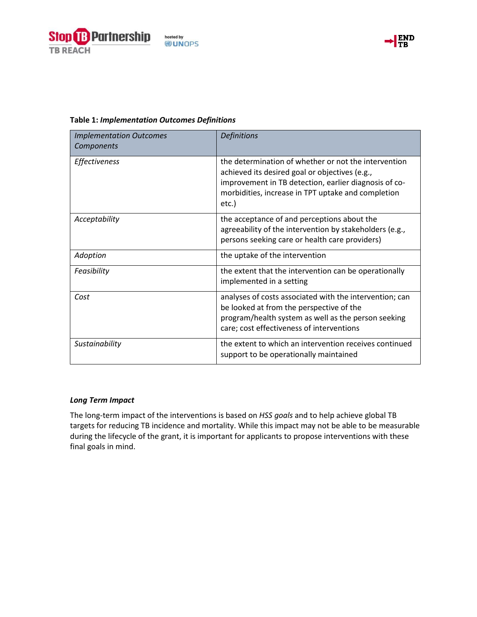



| <b>Implementation Outcomes</b><br>Components | <b>Definitions</b>                                                                                                                                                                                                             |  |
|----------------------------------------------|--------------------------------------------------------------------------------------------------------------------------------------------------------------------------------------------------------------------------------|--|
| Effectiveness                                | the determination of whether or not the intervention<br>achieved its desired goal or objectives (e.g.,<br>improvement in TB detection, earlier diagnosis of co-<br>morbidities, increase in TPT uptake and completion<br>etc.) |  |
| Acceptability                                | the acceptance of and perceptions about the<br>agreeability of the intervention by stakeholders (e.g.,<br>persons seeking care or health care providers)                                                                       |  |
| Adoption                                     | the uptake of the intervention                                                                                                                                                                                                 |  |
| Feasibility                                  | the extent that the intervention can be operationally<br>implemented in a setting                                                                                                                                              |  |
| Cost                                         | analyses of costs associated with the intervention; can<br>be looked at from the perspective of the                                                                                                                            |  |

# **Table 1:** *Implementation Outcomes Definitions*

#### *Long Term Impact*

The long-term impact of the interventions is based on *HSS goals* and to help achieve global TB targets for reducing TB incidence and mortality. While this impact may not be able to be measurable during the lifecycle of the grant, it is important for applicants to propose interventions with these final goals in mind.

*Sustainability* the extent to which an intervention receives continued

program/health system as well as the person seeking

care; cost effectiveness of interventions

support to be operationally maintained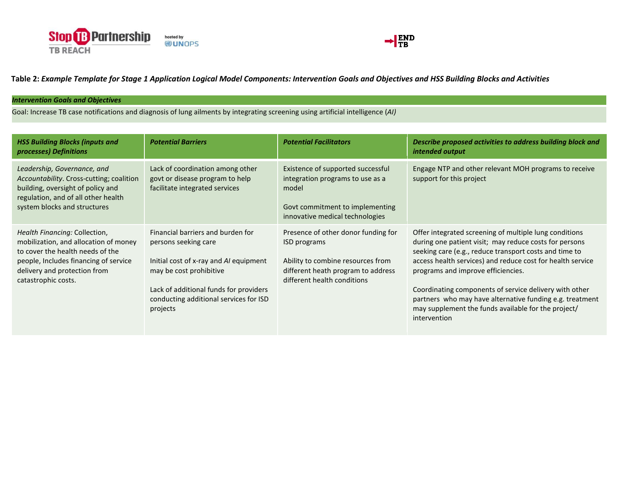



**Table 2:** *Example Template for Stage 1 Application Logical Model Components: Intervention Goals and Objectives and HSS Building Blocks and Activities*

#### *Intervention Goals and Objectives*

Goal: Increase TB case notifications and diagnosis of lung ailments by integrating screening using artificial intelligence (*AI)* 

| <b>HSS Building Blocks (inputs and</b><br>processes) Definitions                                                                                                                                           | <b>Potential Barriers</b>                                                                                                                                                                                                      | <b>Potential Facilitators</b>                                                                                                                                 | Describe proposed activities to address building block and<br>intended output                                                                                                                                                                                                                                                                                                                                                                                               |
|------------------------------------------------------------------------------------------------------------------------------------------------------------------------------------------------------------|--------------------------------------------------------------------------------------------------------------------------------------------------------------------------------------------------------------------------------|---------------------------------------------------------------------------------------------------------------------------------------------------------------|-----------------------------------------------------------------------------------------------------------------------------------------------------------------------------------------------------------------------------------------------------------------------------------------------------------------------------------------------------------------------------------------------------------------------------------------------------------------------------|
| Leadership, Governance, and<br>Accountability. Cross-cutting; coalition<br>building, oversight of policy and<br>regulation, and of all other health<br>system blocks and structures                        | Lack of coordination among other<br>govt or disease program to help<br>facilitate integrated services                                                                                                                          | Existence of supported successful<br>integration programs to use as a<br>model<br>Govt commitment to implementing<br>innovative medical technologies          | Engage NTP and other relevant MOH programs to receive<br>support for this project                                                                                                                                                                                                                                                                                                                                                                                           |
| Health Financing: Collection,<br>mobilization, and allocation of money<br>to cover the health needs of the<br>people, Includes financing of service<br>delivery and protection from<br>catastrophic costs. | Financial barriers and burden for<br>persons seeking care<br>Initial cost of x-ray and AI equipment<br>may be cost prohibitive<br>Lack of additional funds for providers<br>conducting additional services for ISD<br>projects | Presence of other donor funding for<br>ISD programs<br>Ability to combine resources from<br>different heath program to address<br>different health conditions | Offer integrated screening of multiple lung conditions<br>during one patient visit; may reduce costs for persons<br>seeking care (e.g., reduce transport costs and time to<br>access health services) and reduce cost for health service<br>programs and improve efficiencies.<br>Coordinating components of service delivery with other<br>partners who may have alternative funding e.g. treatment<br>may supplement the funds available for the project/<br>intervention |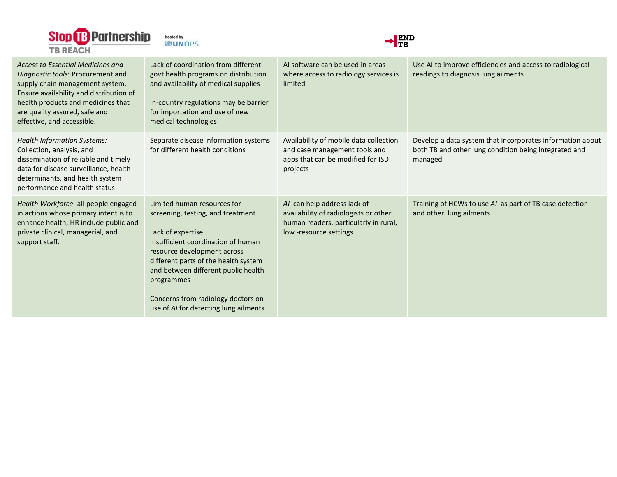





| <b>Access to Essential Medicines and</b><br>Diagnostic tools: Procurement and<br>supply chain management system.<br>Ensure availability and distribution of<br>health products and medicines that<br>are quality assured, safe and<br>effective, and accessible. | Lack of coordination from different<br>govt health programs on distribution<br>and availability of medical supplies<br>In-country regulations may be barrier<br>for importation and use of new<br>medical technologies                                                                                                                 | Al software can be used in areas<br>where access to radiology services is<br>limited                                                     | Use AI to improve efficiencies and access to radiological<br>readings to diagnosis lung ailments                              |
|------------------------------------------------------------------------------------------------------------------------------------------------------------------------------------------------------------------------------------------------------------------|----------------------------------------------------------------------------------------------------------------------------------------------------------------------------------------------------------------------------------------------------------------------------------------------------------------------------------------|------------------------------------------------------------------------------------------------------------------------------------------|-------------------------------------------------------------------------------------------------------------------------------|
| <b>Health Information Systems:</b><br>Collection, analysis, and<br>dissemination of reliable and timely<br>data for disease surveillance, health<br>determinants, and health system<br>performance and health status                                             | Separate disease information systems<br>for different health conditions                                                                                                                                                                                                                                                                | Availability of mobile data collection<br>and case management tools and<br>apps that can be modified for ISD<br>projects                 | Develop a data system that incorporates information about<br>both TB and other lung condition being integrated and<br>managed |
| Health Workforce- all people engaged<br>in actions whose primary intent is to<br>enhance health; HR include public and<br>private clinical, managerial, and<br>support staff.                                                                                    | Limited human resources for<br>screening, testing, and treatment<br>Lack of expertise<br>Insufficient coordination of human<br>resource development across<br>different parts of the health system<br>and between different public health<br>programmes<br>Concerns from radiology doctors on<br>use of AI for detecting lung ailments | AI can help address lack of<br>availability of radiologists or other<br>human readers, particularly in rural,<br>low -resource settings. | Training of HCWs to use AI as part of TB case detection<br>and other lung ailments                                            |